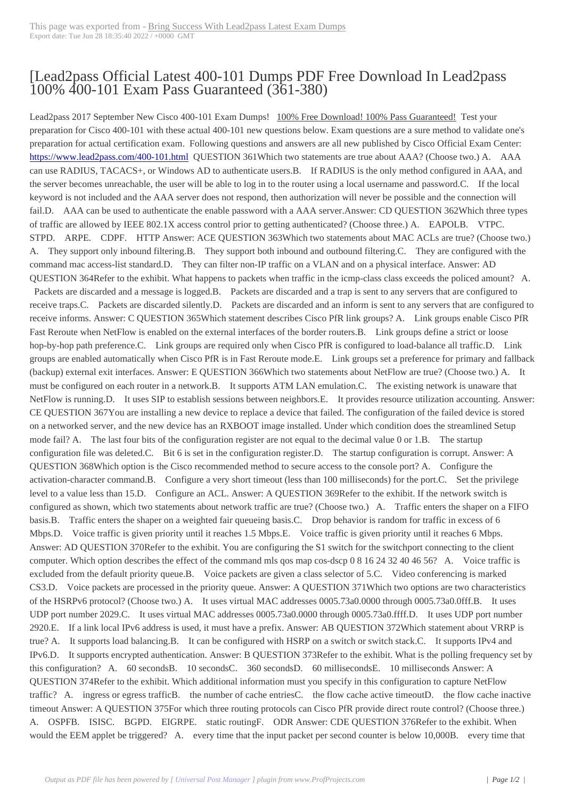## [Lead2pass Officia[l Latest 400-101 Dumps PDF Fre](http://www.220-801.net/?p=6088)e Download In Lead2pass 100% 400-101 Exam Pass Guaranteed (361-380)

 Lead2pass 2017 September New Cisco 400-101 Exam Dumps! 100% Free Download! 100% Pass Guaranteed! Test your preparation for Cisco 400-101 with these actual 400-101 new questions below. Exam questions are a sure method to validate one's preparation for actual certification exam. Following questions and answers are all new published by Cisco Official Exam Center: https://www.lead2pass.com/400-101.html QUESTION 361Which two statements are true about AAA? (Choose two.) A. AAA can use RADIUS, TACACS+, or Windows AD to authenticate users.B. If RADIUS is the only method configured in AAA, and the server becomes unreachable, the user will be able to log in to the router using a local username and password.C. If the local keyword is not included and the AAA server does not respond, then authorization will never be possible and the connection will [fail.D. AAA can be used to authenticate](https://www.lead2pass.com/400-101.html) the enable password with a AAA server.Answer: CD QUESTION 362Which three types of traffic are allowed by IEEE 802.1X access control prior to getting authenticated? (Choose three.) A. EAPOLB. VTPC. STPD. ARPE. CDPF. HTTP Answer: ACE QUESTION 363Which two statements about MAC ACLs are true? (Choose two.) A. They support only inbound filtering.B. They support both inbound and outbound filtering.C. They are configured with the command mac access-list standard.D. They can filter non-IP traffic on a VLAN and on a physical interface. Answer: AD QUESTION 364Refer to the exhibit. What happens to packets when traffic in the icmp-class class exceeds the policed amount? A.

 Packets are discarded and a message is logged.B. Packets are discarded and a trap is sent to any servers that are configured to receive traps.C. Packets are discarded silently.D. Packets are discarded and an inform is sent to any servers that are configured to receive informs. Answer: C QUESTION 365Which statement describes Cisco PfR link groups? A. Link groups enable Cisco PfR Fast Reroute when NetFlow is enabled on the external interfaces of the border routers.B. Link groups define a strict or loose hop-by-hop path preference.C. Link groups are required only when Cisco PfR is configured to load-balance all traffic.D. Link groups are enabled automatically when Cisco PfR is in Fast Reroute mode.E. Link groups set a preference for primary and fallback (backup) external exit interfaces. Answer: E QUESTION 366Which two statements about NetFlow are true? (Choose two.) A. It must be configured on each router in a network.B. It supports ATM LAN emulation.C. The existing network is unaware that NetFlow is running.D. It uses SIP to establish sessions between neighbors.E. It provides resource utilization accounting. Answer: CE QUESTION 367You are installing a new device to replace a device that failed. The configuration of the failed device is stored on a networked server, and the new device has an RXBOOT image installed. Under which condition does the streamlined Setup mode fail? A. The last four bits of the configuration register are not equal to the decimal value 0 or 1.B. The startup configuration file was deleted.C. Bit 6 is set in the configuration register.D. The startup configuration is corrupt. Answer: A QUESTION 368Which option is the Cisco recommended method to secure access to the console port? A. Configure the activation-character command.B. Configure a very short timeout (less than 100 milliseconds) for the port.C. Set the privilege level to a value less than 15.D. Configure an ACL. Answer: A QUESTION 369Refer to the exhibit. If the network switch is configured as shown, which two statements about network traffic are true? (Choose two.) A. Traffic enters the shaper on a FIFO basis.B. Traffic enters the shaper on a weighted fair queueing basis.C. Drop behavior is random for traffic in excess of 6 Mbps.D. Voice traffic is given priority until it reaches 1.5 Mbps.E. Voice traffic is given priority until it reaches 6 Mbps. Answer: AD QUESTION 370Refer to the exhibit. You are configuring the S1 switch for the switchport connecting to the client computer. Which option describes the effect of the command mls qos map cos-dscp 0 8 16 24 32 40 46 56? A. Voice traffic is excluded from the default priority queue.B. Voice packets are given a class selector of 5.C. Video conferencing is marked CS3.D. Voice packets are processed in the priority queue. Answer: A QUESTION 371Which two options are two characteristics of the HSRPv6 protocol? (Choose two.) A. It uses virtual MAC addresses 0005.73a0.0000 through 0005.73a0.0fff.B. It uses UDP port number 2029.C. It uses virtual MAC addresses 0005.73a0.0000 through 0005.73a0.ffff.D. It uses UDP port number 2920.E. If a link local IPv6 address is used, it must have a prefix. Answer: AB QUESTION 372Which statement about VRRP is true? A. It supports load balancing.B. It can be configured with HSRP on a switch or switch stack.C. It supports IPv4 and IPv6.D. It supports encrypted authentication. Answer: B QUESTION 373Refer to the exhibit. What is the polling frequency set by this configuration? A. 60 secondsB. 10 secondsC. 360 secondsD. 60 millisecondsE. 10 milliseconds Answer: A QUESTION 374Refer to the exhibit. Which additional information must you specify in this configuration to capture NetFlow traffic? A. ingress or egress trafficB. the number of cache entriesC. the flow cache active timeoutD. the flow cache inactive timeout Answer: A QUESTION 375For which three routing protocols can Cisco PfR provide direct route control? (Choose three.) A. OSPFB. ISISC. BGPD. EIGRPE. static routingF. ODR Answer: CDE QUESTION 376Refer to the exhibit. When would the EEM applet be triggered? A. every time that the input packet per second counter is below 10,000B. every time that